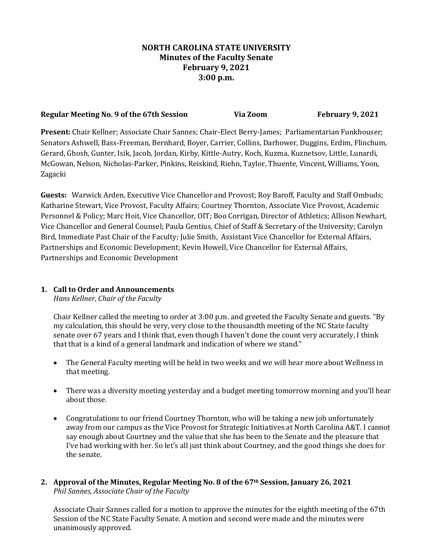# **NORTH CAROLINA STATE UNIVERSITY Minutes of the Faculty Senate February 9, 2021 3:00 p.m.**

## **Regular Meeting No. 9 of the 67th Session Via Zoom February 9, 2021**

**Present:** Chair Kellner; Associate Chair Sannes; Chair-Elect Berry-James; Parliamentarian Funkhouser; Senators Ashwell, Bass-Freeman, Bernhard, Boyer, Carrier, Collins, Darhower, Duggins, Erdim, Flinchum, Gerard, Ghosh, Gunter, Isik, Jacob, Jordan, Kirby, Kittle-Autry, Koch, Kuzma, Kuznetsov, Little, Lunardi, McGowan, Nelson, Nicholas-Parker, Pinkins, Reiskind, Riehn, Taylor, Thuente, Vincent, Williams, Yoon, Zagacki

**Guests:** Warwick Arden, Executive Vice Chancellor and Provost; Roy Baroff, Faculty and Staff Ombuds; Katharine Stewart, Vice Provost, Faculty Affairs; Courtney Thornton, Associate Vice Provost, Academic Personnel & Policy; Marc Hoit, Vice Chancellor, OIT; Boo Corrigan, Director of Athletics; Allison Newhart, Vice Chancellor and General Counsel; Paula Gentius, Chief of Staff & Secretary of the University; Carolyn Bird, Immediate Past Chair of the Faculty; Julie Smith, Assistant Vice Chancellor for External Affairs, Partnerships and Economic Development; Kevin Howell, Vice Chancellor for External Affairs, Partnerships and Economic Development

## **1. Call to Order and Announcements**

*Hans Kellner, Chair of the Faculty*

Chair Kellner called the meeting to order at 3:00 p.m. and greeted the Faculty Senate and guests. "By my calculation, this should be very, very close to the thousandth meeting of the NC State faculty senate over 67 years and I think that, even though I haven't done the count very accurately, I think that that is a kind of a general landmark and indication of where we stand."

- The General Faculty meeting will be held in two weeks and we will hear more about Wellness in that meeting.
- There was a diversity meeting yesterday and a budget meeting tomorrow morning and you'll hear about those.
- Congratulations to our friend Courtney Thornton, who will be taking a new job unfortunately away from our campus as the Vice Provost for Strategic Initiatives at North Carolina A&T. I cannot say enough about Courtney and the value that she has been to the Senate and the pleasure that I've had working with her. So let's all just think about Courtney, and the good things she does for the senate.
- **2. Approval of the Minutes, Regular Meeting No. 8 of the 67th Session, January 26, 2021** *Phil Sannes, Associate Chair of the Faculty*

Associate Chair Sannes called for a motion to approve the minutes for the eighth meeting of the 67th Session of the NC State Faculty Senate. A motion and second were made and the minutes were unanimously approved.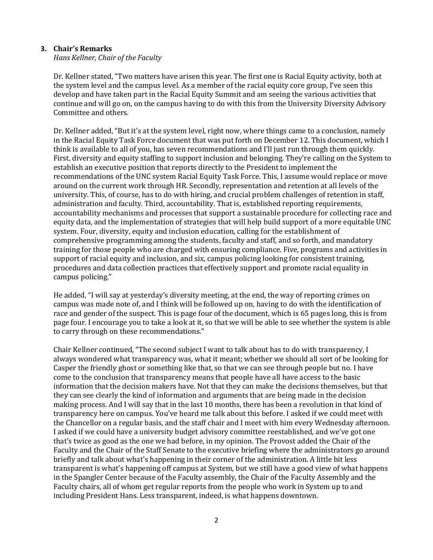#### **3. Chair's Remarks**

*Hans Kellner, Chair of the Faculty*

Dr. Kellner stated, "Two matters have arisen this year. The first one is Racial Equity activity, both at the system level and the campus level. As a member of the racial equity core group, I've seen this develop and have taken part in the Racial Equity Summit and am seeing the various activities that continue and will go on, on the campus having to do with this from the University Diversity Advisory Committee and others.

Dr. Kellner added, "But it's at the system level, right now, where things came to a conclusion, namely in the Racial Equity Task Force document that was put forth on December 12. This document, which I think is available to all of you, has seven recommendations and I'll just run through them quickly. First, diversity and equity staffing to support inclusion and belonging. They're calling on the System to establish an executive position that reports directly to the President to implement the recommendations of the UNC system Racial Equity Task Force. This, I assume would replace or move around on the current work through HR. Secondly, representation and retention at all levels of the university. This, of course, has to do with hiring, and crucial problem challenges of retention in staff, administration and faculty. Third, accountability. That is, established reporting requirements, accountability mechanisms and processes that support a sustainable procedure for collecting race and equity data, and the implementation of strategies that will help build support of a more equitable UNC system. Four, diversity, equity and inclusion education, calling for the establishment of comprehensive programming among the students, faculty and staff, and so forth, and mandatory training for those people who are charged with ensuring compliance. Five, programs and activities in support of racial equity and inclusion, and six, campus policing looking for consistent training, procedures and data collection practices that effectively support and promote racial equality in campus policing."

He added, "I will say at yesterday's diversity meeting, at the end, the way of reporting crimes on campus was made note of, and I think will be followed up on, having to do with the identification of race and gender of the suspect. This is page four of the document, which is 65 pages long, this is from page four. I encourage you to take a look at it, so that we will be able to see whether the system is able to carry through on these recommendations."

Chair Kellner continued, "The second subject I want to talk about has to do with transparency, I always wondered what transparency was, what it meant; whether we should all sort of be looking for Casper the friendly ghost or something like that, so that we can see through people but no. I have come to the conclusion that transparency means that people have all have access to the basic information that the decision makers have. Not that they can make the decisions themselves, but that they can see clearly the kind of information and arguments that are being made in the decision making process. And I will say that in the last 10 months, there has been a revolution in that kind of transparency here on campus. You've heard me talk about this before. I asked if we could meet with the Chancellor on a regular basis, and the staff chair and I meet with him every Wednesday afternoon. I asked if we could have a university budget advisory committee reestablished, and we've got one that's twice as good as the one we had before, in my opinion. The Provost added the Chair of the Faculty and the Chair of the Staff Senate to the executive briefing where the administrators go around briefly and talk about what's happening in their corner of the administration. A little bit less transparent is what's happening off campus at System, but we still have a good view of what happens in the Spangler Center because of the Faculty assembly, the Chair of the Faculty Assembly and the Faculty chairs, all of whom get regular reports from the people who work in System up to and including President Hans. Less transparent, indeed, is what happens downtown.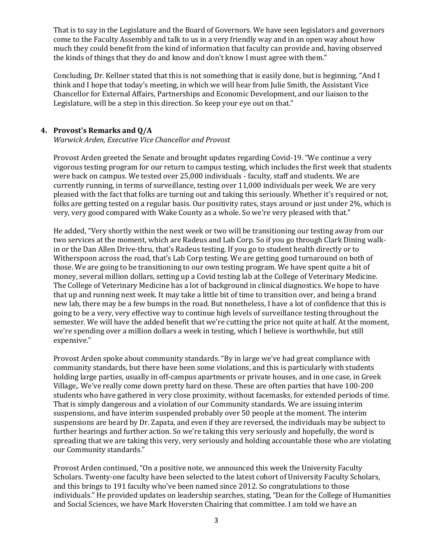That is to say in the Legislature and the Board of Governors. We have seen legislators and governors come to the Faculty Assembly and talk to us in a very friendly way and in an open way about how much they could benefit from the kind of information that faculty can provide and, having observed the kinds of things that they do and know and don't know I must agree with them."

Concluding, Dr. Kellner stated that this is not something that is easily done, but is beginning. "And I think and I hope that today's meeting, in which we will hear from Julie Smith, the Assistant Vice Chancellor for External Affairs, Partnerships and Economic Development, and our liaison to the Legislature, will be a step in this direction. So keep your eye out on that."

## **4. Provost's Remarks and Q/A**

*Warwick Arden, Executive Vice Chancellor and Provost*

Provost Arden greeted the Senate and brought updates regarding Covid-19. "We continue a very vigorous testing program for our return to campus testing, which includes the first week that students were back on campus. We tested over 25,000 individuals - faculty, staff and students. We are currently running, in terms of surveillance, testing over 11,000 individuals per week. We are very pleased with the fact that folks are turning out and taking this seriously. Whether it's required or not, folks are getting tested on a regular basis. Our positivity rates, stays around or just under 2%, which is very, very good compared with Wake County as a whole. So we're very pleased with that."

He added, "Very shortly within the next week or two will be transitioning our testing away from our two services at the moment, which are Radeus and Lab Corp. So if you go through Clark Dining walkin or the Dan Allen Drive-thru, that's Radeus testing. If you go to student health directly or to Witherspoon across the road, that's Lab Corp testing. We are getting good turnaround on both of those. We are going to be transitioning to our own testing program. We have spent quite a bit of money, several million dollars, setting up a Covid testing lab at the College of Veterinary Medicine. The College of Veterinary Medicine has a lot of background in clinical diagnostics. We hope to have that up and running next week. It may take a little bit of time to transition over, and being a brand new lab, there may be a few bumps in the road. But nonetheless, I have a lot of confidence that this is going to be a very, very effective way to continue high levels of surveillance testing throughout the semester. We will have the added benefit that we're cutting the price not quite at half. At the moment, we're spending over a million dollars a week in testing, which I believe is worthwhile, but still expensive."

Provost Arden spoke about community standards. "By in large we've had great compliance with community standards, but there have been some violations, and this is particularly with students holding large parties, usually in off-campus apartments or private houses, and in one case, in Greek Village,. We've really come down pretty hard on these. These are often parties that have 100-200 students who have gathered in very close proximity, without facemasks, for extended periods of time. That is simply dangerous and a violation of our Community standards. We are issuing interim suspensions, and have interim suspended probably over 50 people at the moment. The interim suspensions are heard by Dr. Zapata, and even if they are reversed, the individuals may be subject to further hearings and further action. So we're taking this very seriously and hopefully, the word is spreading that we are taking this very, very seriously and holding accountable those who are violating our Community standards."

Provost Arden continued, "On a positive note, we announced this week the University Faculty Scholars. Twenty-one faculty have been selected to the latest cohort of University Faculty Scholars, and this brings to 191 faculty who've been named since 2012. So congratulations to those individuals." He provided updates on leadership searches, stating, "Dean for the College of Humanities and Social Sciences, we have Mark Hoversten Chairing that committee. I am told we have an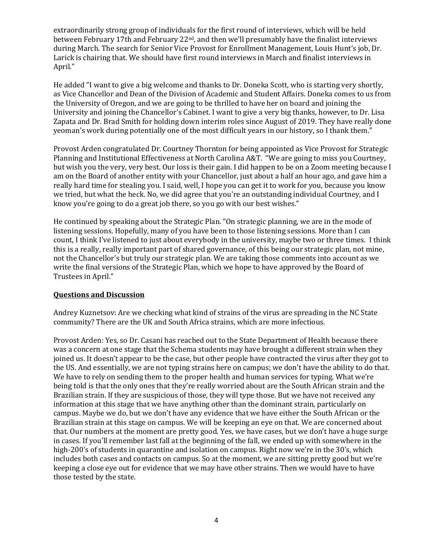extraordinarily strong group of individuals for the first round of interviews, which will be held between February 17th and February  $22<sup>nd</sup>$ , and then we'll presumably have the finalist interviews during March. The search for Senior Vice Provost for Enrollment Management, Louis Hunt's job, Dr. Larick is chairing that. We should have first round interviews in March and finalist interviews in April."

He added "I want to give a big welcome and thanks to Dr. Doneka Scott, who is starting very shortly, as Vice Chancellor and Dean of the Division of Academic and Student Affairs. Doneka comes to us from the University of Oregon, and we are going to be thrilled to have her on board and joining the University and joining the Chancellor's Cabinet. I want to give a very big thanks, however, to Dr. Lisa Zapata and Dr. Brad Smith for holding down interim roles since August of 2019. They have really done yeoman's work during potentially one of the most difficult years in our history, so I thank them."

Provost Arden congratulated Dr. Courtney Thornton for being appointed as Vice Provost for Strategic Planning and Institutional Effectiveness at North Carolina A&T. "We are going to miss you Courtney, but wish you the very, very best. Our loss is their gain. I did happen to be on a Zoom meeting because I am on the Board of another entity with your Chancellor, just about a half an hour ago, and gave him a really hard time for stealing you. I said, well, I hope you can get it to work for you, because you know we tried, but what the heck. No, we did agree that you're an outstanding individual Courtney, and I know you're going to do a great job there, so you go with our best wishes."

He continued by speaking about the Strategic Plan. "On strategic planning, we are in the mode of listening sessions. Hopefully, many of you have been to those listening sessions. More than I can count, I think I've listened to just about everybody in the university, maybe two or three times. I think this is a really, really important part of shared governance, of this being our strategic plan, not mine, not the Chancellor's but truly our strategic plan. We are taking those comments into account as we write the final versions of the Strategic Plan, which we hope to have approved by the Board of Trustees in April."

#### **Questions and Discussion**

Andrey Kuznetsov: Are we checking what kind of strains of the virus are spreading in the NC State community? There are the UK and South Africa strains, which are more infectious.

Provost Arden: Yes, so Dr. Casani has reached out to the State Department of Health because there was a concern at one stage that the Schema students may have brought a different strain when they joined us. It doesn't appear to be the case, but other people have contracted the virus after they got to the US. And essentially, we are not typing strains here on campus; we don't have the ability to do that. We have to rely on sending them to the proper health and human services for typing. What we're being told is that the only ones that they're really worried about are the South African strain and the Brazilian strain. If they are suspicious of those, they will type those. But we have not received any information at this stage that we have anything other than the dominant strain, particularly on campus. Maybe we do, but we don't have any evidence that we have either the South African or the Brazilian strain at this stage on campus. We will be keeping an eye on that. We are concerned about that. Our numbers at the moment are pretty good. Yes, we have cases, but we don't have a huge surge in cases. If you'll remember last fall at the beginning of the fall, we ended up with somewhere in the high-200's of students in quarantine and isolation on campus. Right now we're in the 30's, which includes both cases and contacts on campus. So at the moment, we are sitting pretty good but we're keeping a close eye out for evidence that we may have other strains. Then we would have to have those tested by the state.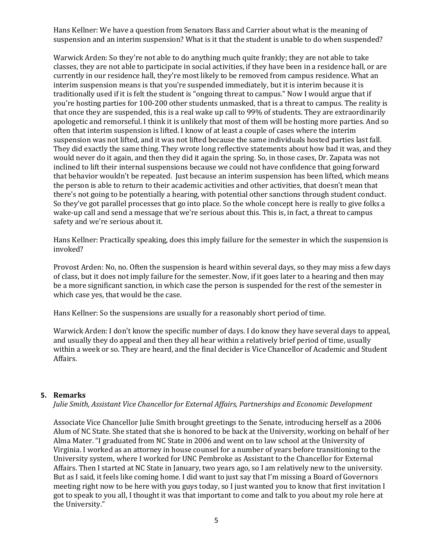Hans Kellner: We have a question from Senators Bass and Carrier about what is the meaning of suspension and an interim suspension? What is it that the student is unable to do when suspended?

Warwick Arden: So they're not able to do anything much quite frankly; they are not able to take classes, they are not able to participate in social activities, if they have been in a residence hall, or are currently in our residence hall, they're most likely to be removed from campus residence. What an interim suspension means is that you're suspended immediately, but it is interim because it is traditionally used if it is felt the student is "ongoing threat to campus." Now I would argue that if you're hosting parties for 100-200 other students unmasked, that is a threat to campus. The reality is that once they are suspended, this is a real wake up call to 99% of students. They are extraordinarily apologetic and remorseful. I think it is unlikely that most of them will be hosting more parties. And so often that interim suspension is lifted. I know of at least a couple of cases where the interim suspension was not lifted, and it was not lifted because the same individuals hosted parties last fall. They did exactly the same thing. They wrote long reflective statements about how bad it was, and they would never do it again, and then they did it again the spring. So, in those cases, Dr. Zapata was not inclined to lift their internal suspensions because we could not have confidence that going forward that behavior wouldn't be repeated. Just because an interim suspension has been lifted, which means the person is able to return to their academic activities and other activities, that doesn't mean that there's not going to be potentially a hearing, with potential other sanctions through student conduct. So they've got parallel processes that go into place. So the whole concept here is really to give folks a wake-up call and send a message that we're serious about this. This is, in fact, a threat to campus safety and we're serious about it.

Hans Kellner: Practically speaking, does this imply failure for the semester in which the suspension is invoked?

Provost Arden: No, no. Often the suspension is heard within several days, so they may miss a few days of class, but it does not imply failure for the semester. Now, if it goes later to a hearing and then may be a more significant sanction, in which case the person is suspended for the rest of the semester in which case yes, that would be the case.

Hans Kellner: So the suspensions are usually for a reasonably short period of time.

Warwick Arden: I don't know the specific number of days. I do know they have several days to appeal, and usually they do appeal and then they all hear within a relatively brief period of time, usually within a week or so. They are heard, and the final decider is Vice Chancellor of Academic and Student Affairs.

#### **5. Remarks**

*Julie Smith, Assistant Vice Chancellor for External Affairs, Partnerships and Economic Development*

Associate Vice Chancellor Julie Smith brought greetings to the Senate, introducing herself as a 2006 Alum of NC State. She stated that she is honored to be back at the University, working on behalf of her Alma Mater. "I graduated from NC State in 2006 and went on to law school at the University of Virginia. I worked as an attorney in house counsel for a number of years before transitioning to the University system, where I worked for UNC Pembroke as Assistant to the Chancellor for External Affairs. Then I started at NC State in January, two years ago, so I am relatively new to the university. But as I said, it feels like coming home. I did want to just say that I'm missing a Board of Governors meeting right now to be here with you guys today, so I just wanted you to know that first invitation I got to speak to you all, I thought it was that important to come and talk to you about my role here at the University."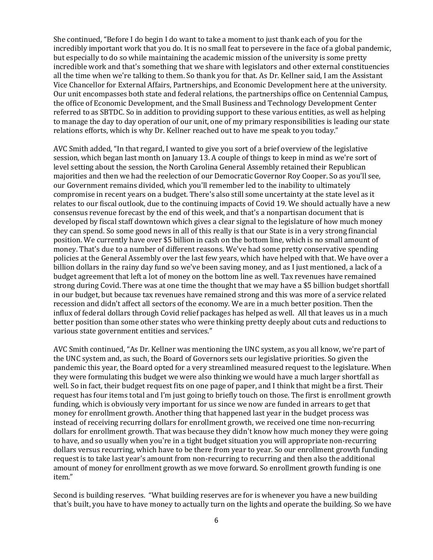She continued, "Before I do begin I do want to take a moment to just thank each of you for the incredibly important work that you do. It is no small feat to persevere in the face of a global pandemic, but especially to do so while maintaining the academic mission of the university is some pretty incredible work and that's something that we share with legislators and other external constituencies all the time when we're talking to them. So thank you for that. As Dr. Kellner said, I am the Assistant Vice Chancellor for External Affairs, Partnerships, and Economic Development here at the university. Our unit encompasses both state and federal relations, the partnerships office on Centennial Campus, the office of Economic Development, and the Small Business and Technology Development Center referred to as SBTDC. So in addition to providing support to these various entities, as well as helping to manage the day to day operation of our unit, one of my primary responsibilities is leading our state relations efforts, which is why Dr. Kellner reached out to have me speak to you today."

AVC Smith added, "In that regard, I wanted to give you sort of a brief overview of the legislative session, which began last month on January 13. A couple of things to keep in mind as we're sort of level setting about the session, the North Carolina General Assembly retained their Republican majorities and then we had the reelection of our Democratic Governor Roy Cooper. So as you'll see, our Government remains divided, which you'll remember led to the inability to ultimately compromise in recent years on a budget. There's also still some uncertainty at the state level as it relates to our fiscal outlook, due to the continuing impacts of Covid 19. We should actually have a new consensus revenue forecast by the end of this week, and that's a nonpartisan document that is developed by fiscal staff downtown which gives a clear signal to the legislature of how much money they can spend. So some good news in all of this really is that our State is in a very strong financial position. We currently have over \$5 billion in cash on the bottom line, which is no small amount of money. That's due to a number of different reasons. We've had some pretty conservative spending policies at the General Assembly over the last few years, which have helped with that. We have over a billion dollars in the rainy day fund so we've been saving money, and as I just mentioned, a lack of a budget agreement that left a lot of money on the bottom line as well. Tax revenues have remained strong during Covid. There was at one time the thought that we may have a \$5 billion budget shortfall in our budget, but because tax revenues have remained strong and this was more of a service related recession and didn't affect all sectors of the economy. We are in a much better position. Then the influx of federal dollars through Covid relief packages has helped as well. All that leaves us in a much better position than some other states who were thinking pretty deeply about cuts and reductions to various state government entities and services."

AVC Smith continued, "As Dr. Kellner was mentioning the UNC system, as you all know, we're part of the UNC system and, as such, the Board of Governors sets our legislative priorities. So given the pandemic this year, the Board opted for a very streamlined measured request to the legislature. When they were formulating this budget we were also thinking we would have a much larger shortfall as well. So in fact, their budget request fits on one page of paper, and I think that might be a first. Their request has four items total and I'm just going to briefly touch on those. The first is enrollment growth funding, which is obviously very important for us since we now are funded in arrears to get that money for enrollment growth. Another thing that happened last year in the budget process was instead of receiving recurring dollars for enrollment growth, we received one time non-recurring dollars for enrollment growth. That was because they didn't know how much money they were going to have, and so usually when you're in a tight budget situation you will appropriate non-recurring dollars versus recurring, which have to be there from year to year. So our enrollment growth funding request is to take last year's amount from non-recurring to recurring and then also the additional amount of money for enrollment growth as we move forward. So enrollment growth funding is one item."

Second is building reserves. "What building reserves are for is whenever you have a new building that's built, you have to have money to actually turn on the lights and operate the building. So we have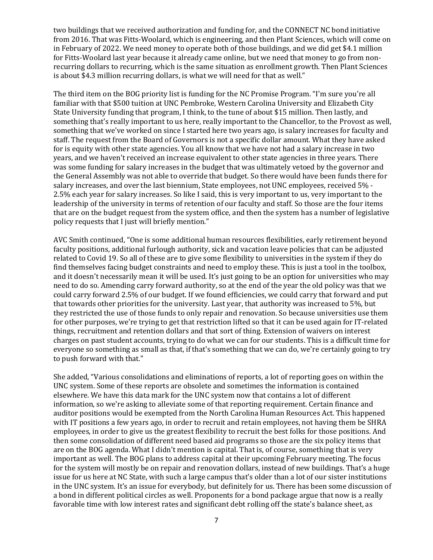two buildings that we received authorization and funding for, and the CONNECT NC bond initiative from 2016. That was Fitts-Woolard, which is engineering, and then Plant Sciences, which will come on in February of 2022. We need money to operate both of those buildings, and we did get \$4.1 million for Fitts-Woolard last year because it already came online, but we need that money to go from nonrecurring dollars to recurring, which is the same situation as enrollment growth. Then Plant Sciences is about \$4.3 million recurring dollars, is what we will need for that as well."

The third item on the BOG priority list is funding for the NC Promise Program. "I'm sure you're all familiar with that \$500 tuition at UNC Pembroke, Western Carolina University and Elizabeth City State University funding that program, I think, to the tune of about \$15 million. Then lastly, and something that's really important to us here, really important to the Chancellor, to the Provost as well, something that we've worked on since I started here two years ago, is salary increases for faculty and staff. The request from the Board of Governors is not a specific dollar amount. What they have asked for is equity with other state agencies. You all know that we have not had a salary increase in two years, and we haven't received an increase equivalent to other state agencies in three years. There was some funding for salary increases in the budget that was ultimately vetoed by the governor and the General Assembly was not able to override that budget. So there would have been funds there for salary increases, and over the last biennium, State employees, not UNC employees, received 5% - 2.5% each year for salary increases. So like I said, this is very important to us, very important to the leadership of the university in terms of retention of our faculty and staff. So those are the four items that are on the budget request from the system office, and then the system has a number of legislative policy requests that I just will briefly mention."

AVC Smith continued, "One is some additional human resources flexibilities, early retirement beyond faculty positions, additional furlough authority, sick and vacation leave policies that can be adjusted related to Covid 19. So all of these are to give some flexibility to universities in the system if they do find themselves facing budget constraints and need to employ these. This is just a tool in the toolbox, and it doesn't necessarily mean it will be used. It's just going to be an option for universities who may need to do so. Amending carry forward authority, so at the end of the year the old policy was that we could carry forward 2.5% of our budget. If we found efficiencies, we could carry that forward and put that towards other priorities for the university. Last year, that authority was increased to 5%, but they restricted the use of those funds to only repair and renovation. So because universities use them for other purposes, we're trying to get that restriction lifted so that it can be used again for IT-related things, recruitment and retention dollars and that sort of thing. Extension of waivers on interest charges on past student accounts, trying to do what we can for our students. This is a difficult time for everyone so something as small as that, if that's something that we can do, we're certainly going to try to push forward with that."

She added, "Various consolidations and eliminations of reports, a lot of reporting goes on within the UNC system. Some of these reports are obsolete and sometimes the information is contained elsewhere. We have this data mark for the UNC system now that contains a lot of different information, so we're asking to alleviate some of that reporting requirement. Certain finance and auditor positions would be exempted from the North Carolina Human Resources Act. This happened with IT positions a few years ago, in order to recruit and retain employees, not having them be SHRA employees, in order to give us the greatest flexibility to recruit the best folks for those positions. And then some consolidation of different need based aid programs so those are the six policy items that are on the BOG agenda. What I didn't mention is capital. That is, of course, something that is very important as well. The BOG plans to address capital at their upcoming February meeting. The focus for the system will mostly be on repair and renovation dollars, instead of new buildings. That's a huge issue for us here at NC State, with such a large campus that's older than a lot of our sister institutions in the UNC system. It's an issue for everybody, but definitely for us. There has been some discussion of a bond in different political circles as well. Proponents for a bond package argue that now is a really favorable time with low interest rates and significant debt rolling off the state's balance sheet, as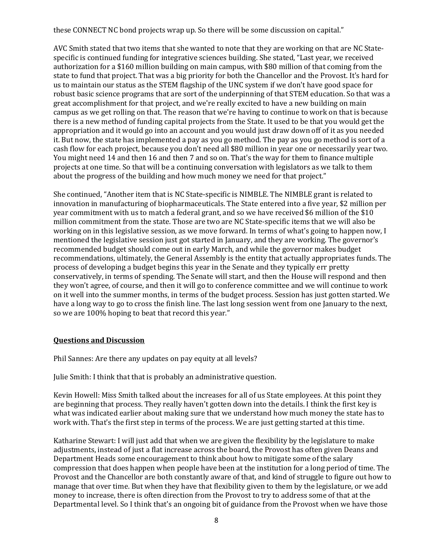these CONNECT NC bond projects wrap up. So there will be some discussion on capital."

AVC Smith stated that two items that she wanted to note that they are working on that are NC Statespecific is continued funding for integrative sciences building. She stated, "Last year, we received authorization for a \$160 million building on main campus, with \$80 million of that coming from the state to fund that project. That was a big priority for both the Chancellor and the Provost. It's hard for us to maintain our status as the STEM flagship of the UNC system if we don't have good space for robust basic science programs that are sort of the underpinning of that STEM education. So that was a great accomplishment for that project, and we're really excited to have a new building on main campus as we get rolling on that. The reason that we're having to continue to work on that is because there is a new method of funding capital projects from the State. It used to be that you would get the appropriation and it would go into an account and you would just draw down off of it as you needed it. But now, the state has implemented a pay as you go method. The pay as you go method is sort of a cash flow for each project, because you don't need all \$80 million in year one or necessarily year two. You might need 14 and then 16 and then 7 and so on. That's the way for them to finance multiple projects at one time. So that will be a continuing conversation with legislators as we talk to them about the progress of the building and how much money we need for that project."

She continued, "Another item that is NC State-specific is NIMBLE. The NIMBLE grant is related to innovation in manufacturing of biopharmaceuticals. The State entered into a five year, \$2 million per year commitment with us to match a federal grant, and so we have received \$6 million of the \$10 million commitment from the state. Those are two are NC State-specific items that we will also be working on in this legislative session, as we move forward. In terms of what's going to happen now, I mentioned the legislative session just got started in January, and they are working. The governor's recommended budget should come out in early March, and while the governor makes budget recommendations, ultimately, the General Assembly is the entity that actually appropriates funds. The process of developing a budget begins this year in the Senate and they typically err pretty conservatively, in terms of spending. The Senate will start, and then the House will respond and then they won't agree, of course, and then it will go to conference committee and we will continue to work on it well into the summer months, in terms of the budget process. Session has just gotten started. We have a long way to go to cross the finish line. The last long session went from one January to the next, so we are 100% hoping to beat that record this year."

## **Questions and Discussion**

Phil Sannes: Are there any updates on pay equity at all levels?

Julie Smith: I think that that is probably an administrative question.

Kevin Howell: Miss Smith talked about the increases for all of us State employees. At this point they are beginning that process. They really haven't gotten down into the details. I think the first key is what was indicated earlier about making sure that we understand how much money the state has to work with. That's the first step in terms of the process. We are just getting started at this time.

Katharine Stewart: I will just add that when we are given the flexibility by the legislature to make adjustments, instead of just a flat increase across the board, the Provost has often given Deans and Department Heads some encouragement to think about how to mitigate some of the salary compression that does happen when people have been at the institution for a long period of time. The Provost and the Chancellor are both constantly aware of that, and kind of struggle to figure out how to manage that over time. But when they have that flexibility given to them by the legislature, or we add money to increase, there is often direction from the Provost to try to address some of that at the Departmental level. So I think that's an ongoing bit of guidance from the Provost when we have those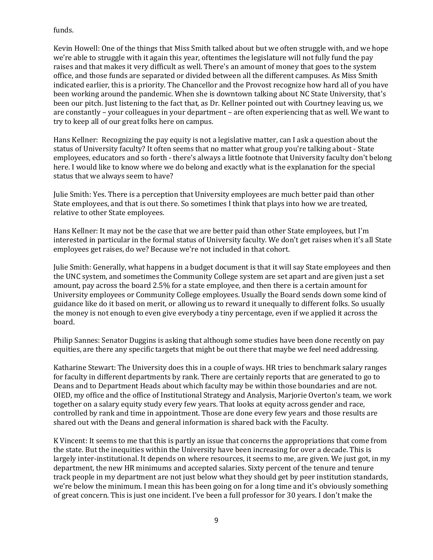funds.

Kevin Howell: One of the things that Miss Smith talked about but we often struggle with, and we hope we're able to struggle with it again this year, oftentimes the legislature will not fully fund the pay raises and that makes it very difficult as well. There's an amount of money that goes to the system office, and those funds are separated or divided between all the different campuses. As Miss Smith indicated earlier, this is a priority. The Chancellor and the Provost recognize how hard all of you have been working around the pandemic. When she is downtown talking about NC State University, that's been our pitch. Just listening to the fact that, as Dr. Kellner pointed out with Courtney leaving us, we are constantly – your colleagues in your department – are often experiencing that as well. We want to try to keep all of our great folks here on campus.

Hans Kellner: Recognizing the pay equity is not a legislative matter, can I ask a question about the status of University faculty? It often seems that no matter what group you're talking about - State employees, educators and so forth - there's always a little footnote that University faculty don't belong here. I would like to know where we do belong and exactly what is the explanation for the special status that we always seem to have?

Julie Smith: Yes. There is a perception that University employees are much better paid than other State employees, and that is out there. So sometimes I think that plays into how we are treated, relative to other State employees.

Hans Kellner: It may not be the case that we are better paid than other State employees, but I'm interested in particular in the formal status of University faculty. We don't get raises when it's all State employees get raises, do we? Because we're not included in that cohort.

Julie Smith: Generally, what happens in a budget document is that it will say State employees and then the UNC system, and sometimes the Community College system are set apart and are given just a set amount, pay across the board 2.5% for a state employee, and then there is a certain amount for University employees or Community College employees. Usually the Board sends down some kind of guidance like do it based on merit, or allowing us to reward it unequally to different folks. So usually the money is not enough to even give everybody a tiny percentage, even if we applied it across the board.

Philip Sannes: Senator Duggins is asking that although some studies have been done recently on pay equities, are there any specific targets that might be out there that maybe we feel need addressing.

Katharine Stewart: The University does this in a couple of ways. HR tries to benchmark salary ranges for faculty in different departments by rank. There are certainly reports that are generated to go to Deans and to Department Heads about which faculty may be within those boundaries and are not. OIED, my office and the office of Institutional Strategy and Analysis, Marjorie Overton's team, we work together on a salary equity study every few years. That looks at equity across gender and race, controlled by rank and time in appointment. Those are done every few years and those results are shared out with the Deans and general information is shared back with the Faculty.

K Vincent: It seems to me that this is partly an issue that concerns the appropriations that come from the state. But the inequities within the University have been increasing for over a decade. This is largely inter-institutional. It depends on where resources, it seems to me, are given. We just got, in my department, the new HR minimums and accepted salaries. Sixty percent of the tenure and tenure track people in my department are not just below what they should get by peer institution standards, we're below the minimum. I mean this has been going on for a long time and it's obviously something of great concern. This is just one incident. I've been a full professor for 30 years. I don't make the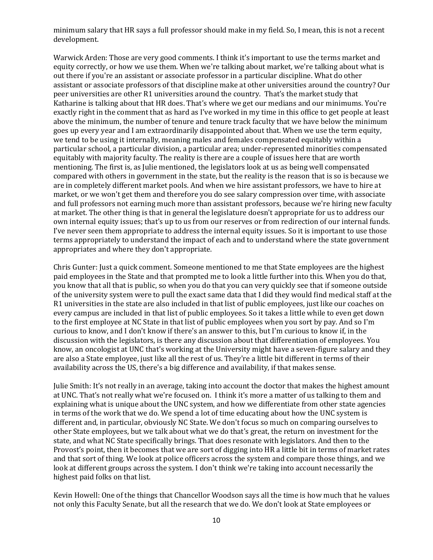minimum salary that HR says a full professor should make in my field. So, I mean, this is not a recent development.

Warwick Arden: Those are very good comments. I think it's important to use the terms market and equity correctly, or how we use them. When we're talking about market, we're talking about what is out there if you're an assistant or associate professor in a particular discipline. What do other assistant or associate professors of that discipline make at other universities around the country? Our peer universities are other R1 universities around the country. That's the market study that Katharine is talking about that HR does. That's where we get our medians and our minimums. You're exactly right in the comment that as hard as I've worked in my time in this office to get people at least above the minimum, the number of tenure and tenure track faculty that we have below the minimum goes up every year and I am extraordinarily disappointed about that. When we use the term equity, we tend to be using it internally, meaning males and females compensated equitably within a particular school, a particular division, a particular area; under-represented minorities compensated equitably with majority faculty. The reality is there are a couple of issues here that are worth mentioning. The first is, as Julie mentioned, the legislators look at us as being well compensated compared with others in government in the state, but the reality is the reason that is so is because we are in completely different market pools. And when we hire assistant professors, we have to hire at market, or we won't get them and therefore you do see salary compression over time, with associate and full professors not earning much more than assistant professors, because we're hiring new faculty at market. The other thing is that in general the legislature doesn't appropriate for us to address our own internal equity issues; that's up to us from our reserves or from redirection of our internal funds. I've never seen them appropriate to address the internal equity issues. So it is important to use those terms appropriately to understand the impact of each and to understand where the state government appropriates and where they don't appropriate.

Chris Gunter: Just a quick comment. Someone mentioned to me that State employees are the highest paid employees in the State and that prompted me to look a little further into this. When you do that, you know that all that is public, so when you do that you can very quickly see that if someone outside of the university system were to pull the exact same data that I did they would find medical staff at the R1 universities in the state are also included in that list of public employees, just like our coaches on every campus are included in that list of public employees. So it takes a little while to even get down to the first employee at NC State in that list of public employees when you sort by pay. And so I'm curious to know, and I don't know if there's an answer to this, but I'm curious to know if, in the discussion with the legislators, is there any discussion about that differentiation of employees. You know, an oncologist at UNC that's working at the University might have a seven-figure salary and they are also a State employee, just like all the rest of us. They're a little bit different in terms of their availability across the US, there's a big difference and availability, if that makes sense.

Julie Smith: It's not really in an average, taking into account the doctor that makes the highest amount at UNC. That's not really what we're focused on. I think it's more a matter of us talking to them and explaining what is unique about the UNC system, and how we differentiate from other state agencies in terms of the work that we do. We spend a lot of time educating about how the UNC system is different and, in particular, obviously NC State. We don't focus so much on comparing ourselves to other State employees, but we talk about what we do that's great, the return on investment for the state, and what NC State specifically brings. That does resonate with legislators. And then to the Provost's point, then it becomes that we are sort of digging into HR a little bit in terms of market rates and that sort of thing. We look at police officers across the system and compare those things, and we look at different groups across the system. I don't think we're taking into account necessarily the highest paid folks on that list.

Kevin Howell: One of the things that Chancellor Woodson says all the time is how much that he values not only this Faculty Senate, but all the research that we do. We don't look at State employees or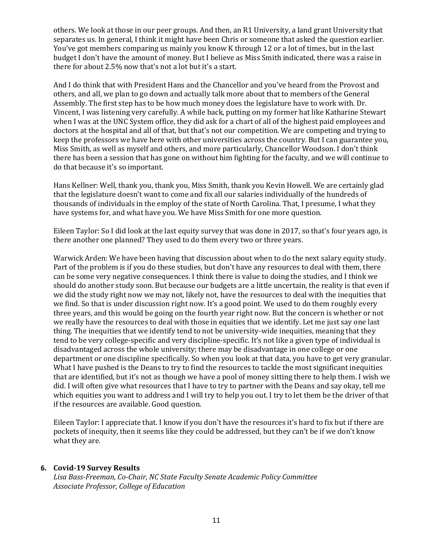others. We look at those in our peer groups. And then, an R1 University, a land grant University that separates us. In general, I think it might have been Chris or someone that asked the question earlier. You've got members comparing us mainly you know K through 12 or a lot of times, but in the last budget I don't have the amount of money. But I believe as Miss Smith indicated, there was a raise in there for about 2.5% now that's not a lot but it's a start.

And I do think that with President Hans and the Chancellor and you've heard from the Provost and others, and all, we plan to go down and actually talk more about that to members of the General Assembly. The first step has to be how much money does the legislature have to work with. Dr. Vincent, I was listening very carefully. A while back, putting on my former hat like Katharine Stewart when I was at the UNC System office, they did ask for a chart of all of the highest paid employees and doctors at the hospital and all of that, but that's not our competition. We are competing and trying to keep the professors we have here with other universities across the country. But I can guarantee you, Miss Smith, as well as myself and others, and more particularly, Chancellor Woodson. I don't think there has been a session that has gone on without him fighting for the faculty, and we will continue to do that because it's so important.

Hans Kellner: Well, thank you, thank you, Miss Smith, thank you Kevin Howell. We are certainly glad that the legislature doesn't want to come and fix all our salaries individually of the hundreds of thousands of individuals in the employ of the state of North Carolina. That, I presume, I what they have systems for, and what have you. We have Miss Smith for one more question.

Eileen Taylor: So I did look at the last equity survey that was done in 2017, so that's four years ago, is there another one planned? They used to do them every two or three years.

Warwick Arden: We have been having that discussion about when to do the next salary equity study. Part of the problem is if you do these studies, but don't have any resources to deal with them, there can be some very negative consequences. I think there is value to doing the studies, and I think we should do another study soon. But because our budgets are a little uncertain, the reality is that even if we did the study right now we may not, likely not, have the resources to deal with the inequities that we find. So that is under discussion right now. It's a good point. We used to do them roughly every three years, and this would be going on the fourth year right now. But the concern is whether or not we really have the resources to deal with those in equities that we identify. Let me just say one last thing. The inequities that we identify tend to not be university-wide inequities, meaning that they tend to be very college-specific and very discipline-specific. It's not like a given type of individual is disadvantaged across the whole university; there may be disadvantage in one college or one department or one discipline specifically. So when you look at that data, you have to get very granular. What I have pushed is the Deans to try to find the resources to tackle the most significant inequities that are identified, but it's not as though we have a pool of money sitting there to help them. I wish we did. I will often give what resources that I have to try to partner with the Deans and say okay, tell me which equities you want to address and I will try to help you out. I try to let them be the driver of that if the resources are available. Good question.

Eileen Taylor: I appreciate that. I know if you don't have the resources it's hard to fix but if there are pockets of inequity, then it seems like they could be addressed, but they can't be if we don't know what they are.

#### **6. Covid-19 Survey Results**

*Lisa Bass-Freeman, Co-Chair, NC State Faculty Senate Academic Policy Committee Associate Professor, College of Education*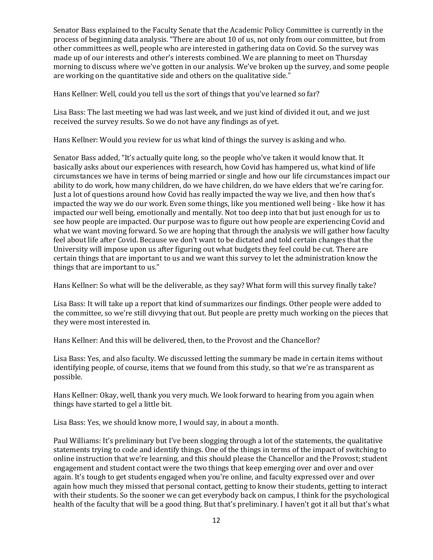Senator Bass explained to the Faculty Senate that the Academic Policy Committee is currently in the process of beginning data analysis. "There are about 10 of us, not only from our committee, but from other committees as well, people who are interested in gathering data on Covid. So the survey was made up of our interests and other's interests combined. We are planning to meet on Thursday morning to discuss where we've gotten in our analysis. We've broken up the survey, and some people are working on the quantitative side and others on the qualitative side."

Hans Kellner: Well, could you tell us the sort of things that you've learned so far?

Lisa Bass: The last meeting we had was last week, and we just kind of divided it out, and we just received the survey results. So we do not have any findings as of yet.

Hans Kellner: Would you review for us what kind of things the survey is asking and who.

Senator Bass added, "It's actually quite long, so the people who've taken it would know that. It basically asks about our experiences with research, how Covid has hampered us, what kind of life circumstances we have in terms of being married or single and how our life circumstances impact our ability to do work, how many children, do we have children, do we have elders that we're caring for. Just a lot of questions around how Covid has really impacted the way we live, and then how that's impacted the way we do our work. Even some things, like you mentioned well being - like how it has impacted our well being, emotionally and mentally. Not too deep into that but just enough for us to see how people are impacted. Our purpose was to figure out how people are experiencing Covid and what we want moving forward. So we are hoping that through the analysis we will gather how faculty feel about life after Covid. Because we don't want to be dictated and told certain changes that the University will impose upon us after figuring out what budgets they feel could be cut. There are certain things that are important to us and we want this survey to let the administration know the things that are important to us."

Hans Kellner: So what will be the deliverable, as they say? What form will this survey finally take?

Lisa Bass: It will take up a report that kind of summarizes our findings. Other people were added to the committee, so we're still divvying that out. But people are pretty much working on the pieces that they were most interested in.

Hans Kellner: And this will be delivered, then, to the Provost and the Chancellor?

Lisa Bass: Yes, and also faculty. We discussed letting the summary be made in certain items without identifying people, of course, items that we found from this study, so that we're as transparent as possible.

Hans Kellner: Okay, well, thank you very much. We look forward to hearing from you again when things have started to gel a little bit.

Lisa Bass: Yes, we should know more, I would say, in about a month.

Paul Williams: It's preliminary but I've been slogging through a lot of the statements, the qualitative statements trying to code and identify things. One of the things in terms of the impact of switching to online instruction that we're learning, and this should please the Chancellor and the Provost; student engagement and student contact were the two things that keep emerging over and over and over again. It's tough to get students engaged when you're online, and faculty expressed over and over again how much they missed that personal contact, getting to know their students, getting to interact with their students. So the sooner we can get everybody back on campus, I think for the psychological health of the faculty that will be a good thing. But that's preliminary. I haven't got it all but that's what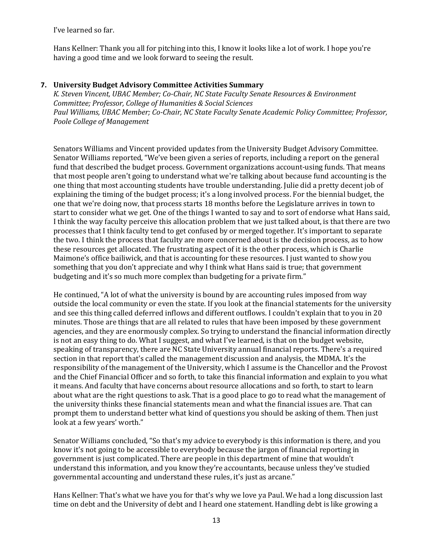I've learned so far.

Hans Kellner: Thank you all for pitching into this, I know it looks like a lot of work. I hope you're having a good time and we look forward to seeing the result.

#### **7. University Budget Advisory Committee Activities Summary**

*K. Steven Vincent, UBAC Member; Co-Chair, NC State Faculty Senate Resources & Environment Committee; Professor, College of Humanities & Social Sciences Paul Williams, UBAC Member; Co-Chair, NC State Faculty Senate Academic Policy Committee; Professor, Poole College of Management* 

Senators Williams and Vincent provided updates from the University Budget Advisory Committee. Senator Williams reported, "We've been given a series of reports, including a report on the general fund that described the budget process. Government organizations account-using funds. That means that most people aren't going to understand what we're talking about because fund accounting is the one thing that most accounting students have trouble understanding. Julie did a pretty decent job of explaining the timing of the budget process; it's a long involved process. For the biennial budget, the one that we're doing now, that process starts 18 months before the Legislature arrives in town to start to consider what we get. One of the things I wanted to say and to sort of endorse what Hans said, I think the way faculty perceive this allocation problem that we just talked about, is that there are two processes that I think faculty tend to get confused by or merged together. It's important to separate the two. I think the process that faculty are more concerned about is the decision process, as to how these resources get allocated. The frustrating aspect of it is the other process, which is Charlie Maimone's office bailiwick, and that is accounting for these resources. I just wanted to show you something that you don't appreciate and why I think what Hans said is true; that government budgeting and it's so much more complex than budgeting for a private firm."

He continued, "A lot of what the university is bound by are accounting rules imposed from way outside the local community or even the state. If you look at the financial statements for the university and see this thing called deferred inflows and different outflows. I couldn't explain that to you in 20 minutes. Those are things that are all related to rules that have been imposed by these government agencies, and they are enormously complex. So trying to understand the financial information directly is not an easy thing to do. What I suggest, and what I've learned, is that on the budget website, speaking of transparency, there are NC State University annual financial reports. There's a required section in that report that's called the management discussion and analysis, the MDMA. It's the responsibility of the management of the University, which I assume is the Chancellor and the Provost and the Chief Financial Officer and so forth, to take this financial information and explain to you what it means. And faculty that have concerns about resource allocations and so forth, to start to learn about what are the right questions to ask. That is a good place to go to read what the management of the university thinks these financial statements mean and what the financial issues are. That can prompt them to understand better what kind of questions you should be asking of them. Then just look at a few years' worth."

Senator Williams concluded, "So that's my advice to everybody is this information is there, and you know it's not going to be accessible to everybody because the jargon of financial reporting in government is just complicated. There are people in this department of mine that wouldn't understand this information, and you know they're accountants, because unless they've studied governmental accounting and understand these rules, it's just as arcane."

Hans Kellner: That's what we have you for that's why we love ya Paul. We had a long discussion last time on debt and the University of debt and I heard one statement. Handling debt is like growing a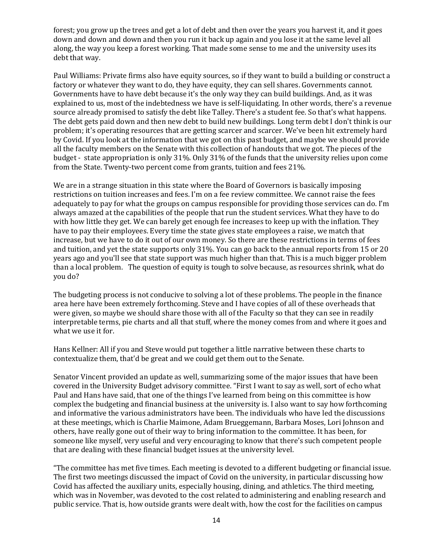forest; you grow up the trees and get a lot of debt and then over the years you harvest it, and it goes down and down and down and then you run it back up again and you lose it at the same level all along, the way you keep a forest working. That made some sense to me and the university uses its debt that way.

Paul Williams: Private firms also have equity sources, so if they want to build a building or construct a factory or whatever they want to do, they have equity, they can sell shares. Governments cannot. Governments have to have debt because it's the only way they can build buildings. And, as it was explained to us, most of the indebtedness we have is self-liquidating. In other words, there's a revenue source already promised to satisfy the debt like Talley. There's a student fee. So that's what happens. The debt gets paid down and then new debt to build new buildings. Long term debt I don't think is our problem; it's operating resources that are getting scarcer and scarcer. We've been hit extremely hard by Covid. If you look at the information that we got on this past budget, and maybe we should provide all the faculty members on the Senate with this collection of handouts that we got. The pieces of the budget - state appropriation is only 31%. Only 31% of the funds that the university relies upon come from the State. Twenty-two percent come from grants, tuition and fees 21%.

We are in a strange situation in this state where the Board of Governors is basically imposing restrictions on tuition increases and fees. I'm on a fee review committee. We cannot raise the fees adequately to pay for what the groups on campus responsible for providing those services can do. I'm always amazed at the capabilities of the people that run the student services. What they have to do with how little they get. We can barely get enough fee increases to keep up with the inflation. They have to pay their employees. Every time the state gives state employees a raise, we match that increase, but we have to do it out of our own money. So there are these restrictions in terms of fees and tuition, and yet the state supports only 31%. You can go back to the annual reports from 15 or 20 years ago and you'll see that state support was much higher than that. This is a much bigger problem than a local problem. The question of equity is tough to solve because, as resources shrink, what do you do?

The budgeting process is not conducive to solving a lot of these problems. The people in the finance area here have been extremely forthcoming. Steve and I have copies of all of these overheads that were given, so maybe we should share those with all of the Faculty so that they can see in readily interpretable terms, pie charts and all that stuff, where the money comes from and where it goes and what we use it for.

Hans Kellner: All if you and Steve would put together a little narrative between these charts to contextualize them, that'd be great and we could get them out to the Senate.

Senator Vincent provided an update as well, summarizing some of the major issues that have been covered in the University Budget advisory committee. "First I want to say as well, sort of echo what Paul and Hans have said, that one of the things I've learned from being on this committee is how complex the budgeting and financial business at the university is. I also want to say how forthcoming and informative the various administrators have been. The individuals who have led the discussions at these meetings, which is Charlie Maimone, Adam Brueggemann, Barbara Moses, Lori Johnson and others, have really gone out of their way to bring information to the committee. It has been, for someone like myself, very useful and very encouraging to know that there's such competent people that are dealing with these financial budget issues at the university level.

"The committee has met five times. Each meeting is devoted to a different budgeting or financial issue. The first two meetings discussed the impact of Covid on the university, in particular discussing how Covid has affected the auxiliary units, especially housing, dining, and athletics. The third meeting, which was in November, was devoted to the cost related to administering and enabling research and public service. That is, how outside grants were dealt with, how the cost for the facilities on campus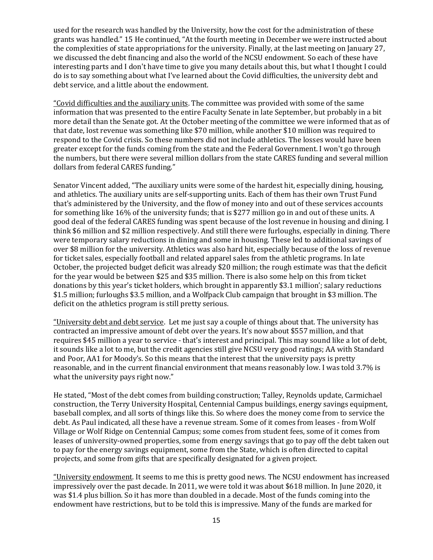used for the research was handled by the University, how the cost for the administration of these grants was handled." 15 He continued, "At the fourth meeting in December we were instructed about the complexities of state appropriations for the university. Finally, at the last meeting on January 27, we discussed the debt financing and also the world of the NCSU endowment. So each of these have interesting parts and I don't have time to give you many details about this, but what I thought I could do is to say something about what I've learned about the Covid difficulties, the university debt and debt service, and a little about the endowment.

"Covid difficulties and the auxiliary units. The committee was provided with some of the same information that was presented to the entire Faculty Senate in late September, but probably in a bit more detail than the Senate got. At the October meeting of the committee we were informed that as of that date, lost revenue was something like \$70 million, while another \$10 million was required to respond to the Covid crisis. So these numbers did not include athletics. The losses would have been greater except for the funds coming from the state and the Federal Government. I won't go through the numbers, but there were several million dollars from the state CARES funding and several million dollars from federal CARES funding."

Senator Vincent added, "The auxiliary units were some of the hardest hit, especially dining, housing, and athletics. The auxiliary units are self-supporting units. Each of them has their own Trust Fund that's administered by the University, and the flow of money into and out of these services accounts for something like 16% of the university funds; that is \$277 million go in and out of these units. A good deal of the federal CARES funding was spent because of the lost revenue in housing and dining. I think \$6 million and \$2 million respectively. And still there were furloughs, especially in dining. There were temporary salary reductions in dining and some in housing. These led to additional savings of over \$8 million for the university. Athletics was also hard hit, especially because of the loss of revenue for ticket sales, especially football and related apparel sales from the athletic programs. In late October, the projected budget deficit was already \$20 million; the rough estimate was that the deficit for the year would be between \$25 and \$35 million. There is also some help on this from ticket donations by this year's ticket holders, which brought in apparently \$3.1 million'; salary reductions \$1.5 million; furloughs \$3.5 million, and a Wolfpack Club campaign that brought in \$3 million. The deficit on the athletics program is still pretty serious.

"University debt and debt service. Let me just say a couple of things about that. The university has contracted an impressive amount of debt over the years. It's now about \$557 million, and that requires \$45 million a year to service - that's interest and principal. This may sound like a lot of debt, it sounds like a lot to me, but the credit agencies still give NCSU very good ratings; AA with Standard and Poor, AA1 for Moody's. So this means that the interest that the university pays is pretty reasonable, and in the current financial environment that means reasonably low. I was told 3.7% is what the university pays right now."

He stated, "Most of the debt comes from building construction; Talley, Reynolds update, Carmichael construction, the Terry University Hospital, Centennial Campus buildings, energy savings equipment, baseball complex, and all sorts of things like this. So where does the money come from to service the debt. As Paul indicated, all these have a revenue stream. Some of it comes from leases - from Wolf Village or Wolf Ridge on Centennial Campus; some comes from student fees, some of it comes from leases of university-owned properties, some from energy savings that go to pay off the debt taken out to pay for the energy savings equipment, some from the State, which is often directed to capital projects, and some from gifts that are specifically designated for a given project.

"University endowment. It seems to me this is pretty good news. The NCSU endowment has increased impressively over the past decade. In 2011, we were told it was about \$618 million. In June 2020, it was \$1.4 plus billion. So it has more than doubled in a decade. Most of the funds coming into the endowment have restrictions, but to be told this is impressive. Many of the funds are marked for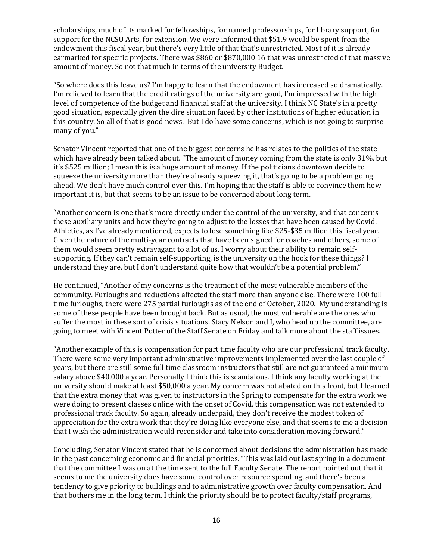scholarships, much of its marked for fellowships, for named professorships, for library support, for support for the NCSU Arts, for extension. We were informed that \$51.9 would be spent from the endowment this fiscal year, but there's very little of that that's unrestricted. Most of it is already earmarked for specific projects. There was \$860 or \$870,000 16 that was unrestricted of that massive amount of money. So not that much in terms of the university Budget.

"So where does this leave us? I'm happy to learn that the endowment has increased so dramatically. I'm relieved to learn that the credit ratings of the university are good, I'm impressed with the high level of competence of the budget and financial staff at the university. I think NC State's in a pretty good situation, especially given the dire situation faced by other institutions of higher education in this country. So all of that is good news. But I do have some concerns, which is not going to surprise many of you."

Senator Vincent reported that one of the biggest concerns he has relates to the politics of the state which have already been talked about. "The amount of money coming from the state is only 31%, but it's \$525 million; I mean this is a huge amount of money. If the politicians downtown decide to squeeze the university more than they're already squeezing it, that's going to be a problem going ahead. We don't have much control over this. I'm hoping that the staff is able to convince them how important it is, but that seems to be an issue to be concerned about long term.

"Another concern is one that's more directly under the control of the university, and that concerns these auxiliary units and how they're going to adjust to the losses that have been caused by Covid. Athletics, as I've already mentioned, expects to lose something like \$25-\$35 million this fiscal year. Given the nature of the multi-year contracts that have been signed for coaches and others, some of them would seem pretty extravagant to a lot of us, I worry about their ability to remain selfsupporting. If they can't remain self-supporting, is the university on the hook for these things? I understand they are, but I don't understand quite how that wouldn't be a potential problem."

He continued, "Another of my concerns is the treatment of the most vulnerable members of the community. Furloughs and reductions affected the staff more than anyone else. There were 100 full time furloughs, there were 275 partial furloughs as of the end of October, 2020. My understanding is some of these people have been brought back. But as usual, the most vulnerable are the ones who suffer the most in these sort of crisis situations. Stacy Nelson and I, who head up the committee, are going to meet with Vincent Potter of the Staff Senate on Friday and talk more about the staff issues.

"Another example of this is compensation for part time faculty who are our professional track faculty. There were some very important administrative improvements implemented over the last couple of years, but there are still some full time classroom instructors that still are not guaranteed a minimum salary above \$40,000 a year. Personally I think this is scandalous. I think any faculty working at the university should make at least \$50,000 a year. My concern was not abated on this front, but I learned that the extra money that was given to instructors in the Spring to compensate for the extra work we were doing to present classes online with the onset of Covid, this compensation was not extended to professional track faculty. So again, already underpaid, they don't receive the modest token of appreciation for the extra work that they're doing like everyone else, and that seems to me a decision that I wish the administration would reconsider and take into consideration moving forward."

Concluding, Senator Vincent stated that he is concerned about decisions the administration has made in the past concerning economic and financial priorities. "This was laid out last spring in a document that the committee I was on at the time sent to the full Faculty Senate. The report pointed out that it seems to me the university does have some control over resource spending, and there's been a tendency to give priority to buildings and to administrative growth over faculty compensation. And that bothers me in the long term. I think the priority should be to protect faculty/staff programs,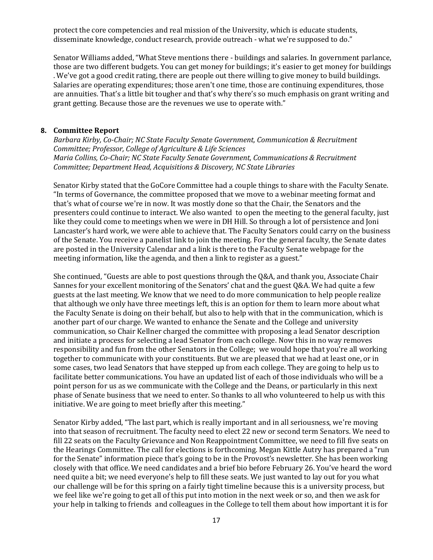protect the core competencies and real mission of the University, which is educate students, disseminate knowledge, conduct research, provide outreach - what we're supposed to do."

Senator Williams added, "What Steve mentions there - buildings and salaries. In government parlance, those are two different budgets. You can get money for buildings; it's easier to get money for buildings . We've got a good credit rating, there are people out there willing to give money to build buildings. Salaries are operating expenditures; those aren't one time, those are continuing expenditures, those are annuities. That's a little bit tougher and that's why there's so much emphasis on grant writing and grant getting. Because those are the revenues we use to operate with."

#### **8. Committee Report**

*Barbara Kirby, Co-Chair; NC State Faculty Senate Government, Communication & Recruitment Committee; Professor, College of Agriculture & Life Sciences Maria Collins, Co-Chair; NC State Faculty Senate Government, Communications & Recruitment Committee; Department Head, Acquisitions & Discovery, NC State Libraries*

Senator Kirby stated that the GoCore Committee had a couple things to share with the Faculty Senate. "In terms of Governance, the committee proposed that we move to a webinar meeting format and that's what of course we're in now. It was mostly done so that the Chair, the Senators and the presenters could continue to interact. We also wanted to open the meeting to the general faculty, just like they could come to meetings when we were in DH Hill. So through a lot of persistence and Joni Lancaster's hard work, we were able to achieve that. The Faculty Senators could carry on the business of the Senate. You receive a panelist link to join the meeting. For the general faculty, the Senate dates are posted in the University Calendar and a link is there to the Faculty Senate webpage for the meeting information, like the agenda, and then a link to register as a guest."

She continued, "Guests are able to post questions through the Q&A, and thank you, Associate Chair Sannes for your excellent monitoring of the Senators' chat and the guest Q&A. We had quite a few guests at the last meeting. We know that we need to do more communication to help people realize that although we only have three meetings left, this is an option for them to learn more about what the Faculty Senate is doing on their behalf, but also to help with that in the communication, which is another part of our charge. We wanted to enhance the Senate and the College and university communication, so Chair Kellner charged the committee with proposing a lead Senator description and initiate a process for selecting a lead Senator from each college. Now this in no way removes responsibility and fun from the other Senators in the College; we would hope that you're all working together to communicate with your constituents. But we are pleased that we had at least one, or in some cases, two lead Senators that have stepped up from each college. They are going to help us to facilitate better communications. You have an updated list of each of those individuals who will be a point person for us as we communicate with the College and the Deans, or particularly in this next phase of Senate business that we need to enter. So thanks to all who volunteered to help us with this initiative. We are going to meet briefly after this meeting."

Senator Kirby added, "The last part, which is really important and in all seriousness, we're moving into that season of recruitment. The faculty need to elect 22 new or second term Senators. We need to fill 22 seats on the Faculty Grievance and Non Reappointment Committee, we need to fill five seats on the Hearings Committee. The call for elections is forthcoming. Megan Kittle Autry has prepared a "run for the Senate" information piece that's going to be in the Provost's newsletter. She has been working closely with that office. We need candidates and a brief bio before February 26. You've heard the word need quite a bit; we need everyone's help to fill these seats. We just wanted to lay out for you what our challenge will be for this spring on a fairly tight timeline because this is a university process, but we feel like we're going to get all of this put into motion in the next week or so, and then we ask for your help in talking to friends and colleagues in the College to tell them about how important it is for